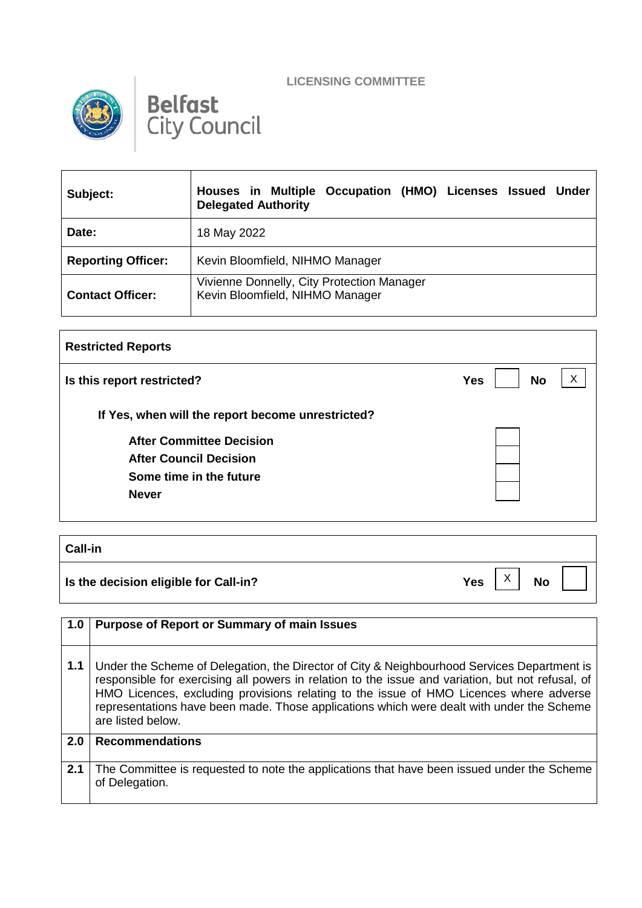





| Subject:                  | Occupation (HMO) Licenses Issued Under<br>Houses in Multiple<br><b>Delegated Authority</b> |
|---------------------------|--------------------------------------------------------------------------------------------|
| Date:                     | 18 May 2022                                                                                |
| <b>Reporting Officer:</b> | Kevin Bloomfield, NIHMO Manager                                                            |
| <b>Contact Officer:</b>   | Vivienne Donnelly, City Protection Manager<br>Kevin Bloomfield, NIHMO Manager              |

| <b>Restricted Reports</b>                         |                         |
|---------------------------------------------------|-------------------------|
| Is this report restricted?                        | <b>No</b><br><b>Yes</b> |
| If Yes, when will the report become unrestricted? |                         |
| <b>After Committee Decision</b>                   |                         |
| <b>After Council Decision</b>                     |                         |
| Some time in the future                           |                         |
| <b>Never</b>                                      |                         |
|                                                   |                         |

**Call-in Is the decision eligible for Call-in?** No **Yes**  $\begin{bmatrix} X \\ Y \end{bmatrix}$  No X

**1.0 Purpose of Report or Summary of main Issues 1.1** Under the Scheme of Delegation, the Director of City & Neighbourhood Services Department is responsible for exercising all powers in relation to the issue and variation, but not refusal, of HMO Licences, excluding provisions relating to the issue of HMO Licences where adverse representations have been made. Those applications which were dealt with under the Scheme are listed below. **2.0 Recommendations** 2.1 The Committee is requested to note the applications that have been issued under the Scheme of Delegation.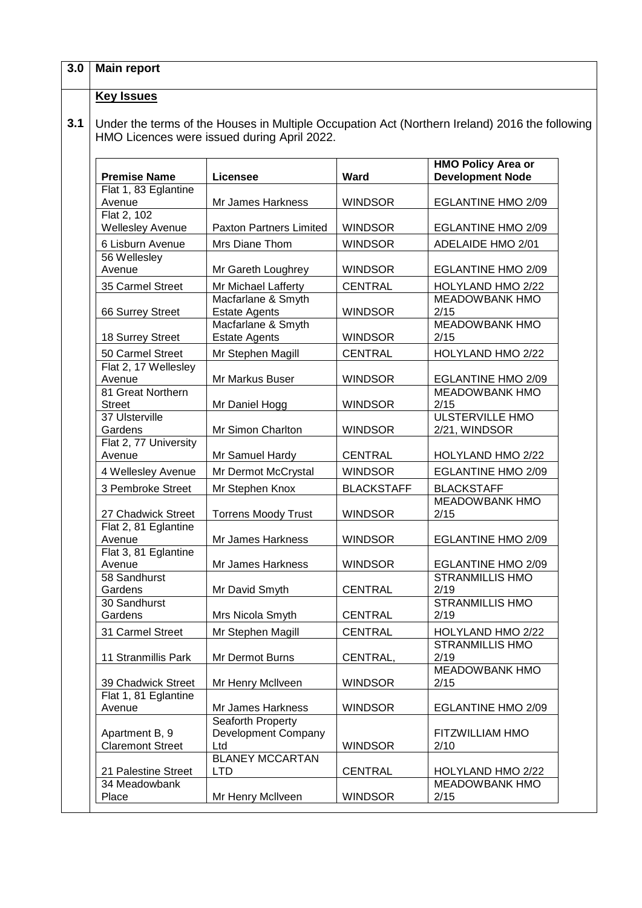| <b>Main report</b>                        |                                                                                                |                   |                                                      |
|-------------------------------------------|------------------------------------------------------------------------------------------------|-------------------|------------------------------------------------------|
| <b>Key Issues</b>                         |                                                                                                |                   |                                                      |
|                                           | Under the terms of the Houses in Multiple Occupation Act (Northern Ireland) 2016 the following |                   |                                                      |
|                                           | HMO Licences were issued during April 2022.                                                    |                   |                                                      |
| <b>Premise Name</b>                       | Licensee                                                                                       | <b>Ward</b>       | <b>HMO Policy Area or</b><br><b>Development Node</b> |
| Flat 1, 83 Eglantine<br>Avenue            | Mr James Harkness                                                                              | <b>WINDSOR</b>    | EGLANTINE HMO 2/09                                   |
| Flat 2, 102<br><b>Wellesley Avenue</b>    | <b>Paxton Partners Limited</b>                                                                 | <b>WINDSOR</b>    | EGLANTINE HMO 2/09                                   |
| 6 Lisburn Avenue                          | Mrs Diane Thom                                                                                 | <b>WINDSOR</b>    | ADELAIDE HMO 2/01                                    |
| 56 Wellesley<br>Avenue                    | Mr Gareth Loughrey                                                                             | <b>WINDSOR</b>    | <b>EGLANTINE HMO 2/09</b>                            |
| 35 Carmel Street                          | Mr Michael Lafferty                                                                            | <b>CENTRAL</b>    | HOLYLAND HMO 2/22                                    |
| 66 Surrey Street                          | Macfarlane & Smyth<br><b>Estate Agents</b>                                                     | <b>WINDSOR</b>    | <b>MEADOWBANK HMO</b><br>2/15                        |
| 18 Surrey Street                          | Macfarlane & Smyth<br><b>Estate Agents</b>                                                     | <b>WINDSOR</b>    | <b>MEADOWBANK HMO</b><br>2/15                        |
| 50 Carmel Street                          | Mr Stephen Magill                                                                              | <b>CENTRAL</b>    | HOLYLAND HMO 2/22                                    |
| Flat 2, 17 Wellesley                      |                                                                                                |                   |                                                      |
| Avenue                                    | Mr Markus Buser                                                                                | <b>WINDSOR</b>    | <b>EGLANTINE HMO 2/09</b>                            |
| 81 Great Northern<br><b>Street</b>        | Mr Daniel Hogg                                                                                 | <b>WINDSOR</b>    | <b>MEADOWBANK HMO</b><br>2/15                        |
| 37 Ulsterville<br>Gardens                 | Mr Simon Charlton                                                                              | <b>WINDSOR</b>    | <b>ULSTERVILLE HMO</b><br>2/21, WINDSOR              |
| Flat 2, 77 University<br>Avenue           | Mr Samuel Hardy                                                                                | <b>CENTRAL</b>    | HOLYLAND HMO 2/22                                    |
| 4 Wellesley Avenue                        | Mr Dermot McCrystal                                                                            | <b>WINDSOR</b>    | <b>EGLANTINE HMO 2/09</b>                            |
| 3 Pembroke Street                         | Mr Stephen Knox                                                                                | <b>BLACKSTAFF</b> | <b>BLACKSTAFF</b>                                    |
| 27 Chadwick Street                        | <b>Torrens Moody Trust</b>                                                                     | <b>WINDSOR</b>    | <b>MEADOWBANK HMO</b><br>2/15                        |
| Flat 2, 81 Eglantine<br>Avenue            | Mr James Harkness                                                                              | <b>WINDSOR</b>    | EGLANTINE HMO 2/09                                   |
| Flat 3, 81 Eglantine<br>Avenue            | Mr James Harkness                                                                              | <b>WINDSOR</b>    | <b>EGLANTINE HMO 2/09</b>                            |
| 58 Sandhurst<br>Gardens                   | Mr David Smyth                                                                                 | <b>CENTRAL</b>    | <b>STRANMILLIS HMO</b><br>2/19                       |
| 30 Sandhurst<br>Gardens                   | Mrs Nicola Smyth                                                                               | <b>CENTRAL</b>    | <b>STRANMILLIS HMO</b><br>2/19                       |
| 31 Carmel Street                          | Mr Stephen Magill                                                                              | <b>CENTRAL</b>    | HOLYLAND HMO 2/22                                    |
| 11 Stranmillis Park                       | Mr Dermot Burns                                                                                | CENTRAL,          | <b>STRANMILLIS HMO</b><br>2/19                       |
| 39 Chadwick Street                        | Mr Henry McIlveen                                                                              | <b>WINDSOR</b>    | <b>MEADOWBANK HMO</b><br>2/15                        |
| Flat 1, 81 Eglantine<br>Avenue            | Mr James Harkness                                                                              | <b>WINDSOR</b>    | EGLANTINE HMO 2/09                                   |
| Apartment B, 9<br><b>Claremont Street</b> | Seaforth Property<br>Development Company<br>Ltd                                                | <b>WINDSOR</b>    | FITZWILLIAM HMO<br>2/10                              |
| 21 Palestine Street                       | <b>BLANEY MCCARTAN</b><br><b>LTD</b>                                                           | <b>CENTRAL</b>    | HOLYLAND HMO 2/22                                    |
| 34 Meadowbank<br>Place                    | Mr Henry McIlveen                                                                              | <b>WINDSOR</b>    | <b>MEADOWBANK HMO</b><br>2/15                        |